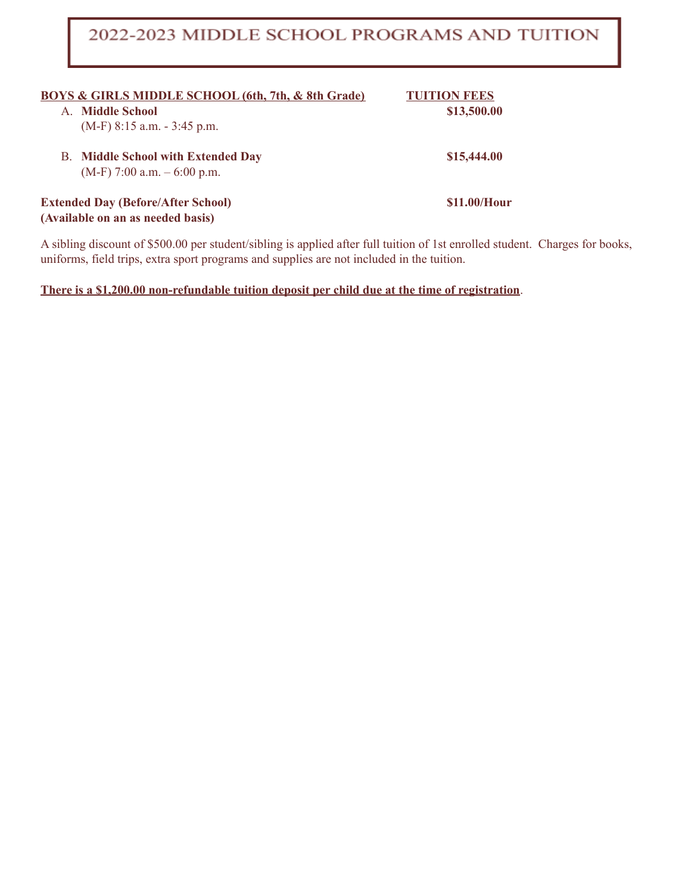### 2022-2023 MIDDLE SCHOOL PROGRAMS AND TUITION

| <b>BOYS &amp; GIRLS MIDDLE SCHOOL (6th, 7th, &amp; 8th Grade)</b><br><b>Middle School</b><br>A<br>$(M-F)$ 8:15 a.m. $-$ 3:45 p.m. | <b>TUITION FEES</b><br>\$13,500.00 |
|-----------------------------------------------------------------------------------------------------------------------------------|------------------------------------|
| <b>B.</b> Middle School with Extended Day<br>$(M-F)$ 7:00 a.m. $-6:00$ p.m.                                                       | \$15,444.00                        |
| <b>Extended Day (Before/After School)</b><br>(Available on an as needed basis)                                                    | \$11.00/Hour                       |

A sibling discount of \$500.00 per student/sibling is applied after full tuition of 1st enrolled student. Charges for books, uniforms, field trips, extra sport programs and supplies are not included in the tuition.

**There is a \$1,200.00 non-refundable tuition deposit per child due at the time of registration**.